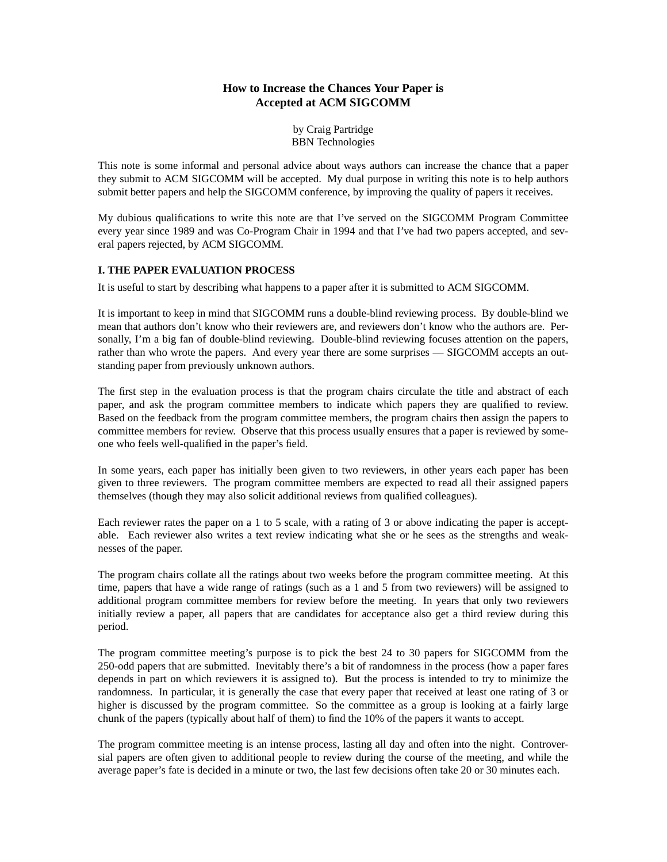# **How to Increase the Chances Your Paper is Accepted at ACM SIGCOMM**

by Craig Partridge BBN Technologies

This note is some informal and personal advice about ways authors can increase the chance that a paper they submit to ACM SIGCOMM will be accepted. My dual purpose in writing this note is to help authors submit better papers and help the SIGCOMM conference, by improving the quality of papers it receives.

My dubious qualifications to write this note are that I've served on the SIGCOMM Program Committee every year since 1989 and was Co-Program Chair in 1994 and that I've had two papers accepted, and several papers rejected, by ACM SIGCOMM.

# **I. THE PAPER EVALUATION PROCESS**

It is useful to start by describing what happens to a paper after it is submitted to ACM SIGCOMM.

It is important to keep in mind that SIGCOMM runs a double-blind reviewing process. By double-blind we mean that authors don't know who their reviewers are, and reviewers don't know who the authors are. Personally, I'm a big fan of double-blind reviewing. Double-blind reviewing focuses attention on the papers, rather than who wrote the papers. And every year there are some surprises — SIGCOMM accepts an outstanding paper from previously unknown authors.

The first step in the evaluation process is that the program chairs circulate the title and abstract of each paper, and ask the program committee members to indicate which papers they are qualified to review. Based on the feedback from the program committee members, the program chairs then assign the papers to committee members for review. Observe that this process usually ensures that a paper is reviewed by someone who feels well-qualified in the paper's field.

In some years, each paper has initially been given to two reviewers, in other years each paper has been given to three reviewers. The program committee members are expected to read all their assigned papers themselves (though they may also solicit additional reviews from qualified colleagues).

Each reviewer rates the paper on a 1 to 5 scale, with a rating of 3 or above indicating the paper is acceptable. Each reviewer also writes a text review indicating what she or he sees as the strengths and weaknesses of the paper.

The program chairs collate all the ratings about two weeks before the program committee meeting. At this time, papers that have a wide range of ratings (such as a 1 and 5 from two reviewers) will be assigned to additional program committee members for review before the meeting. In years that only two reviewers initially review a paper, all papers that are candidates for acceptance also get a third review during this period.

The program committee meeting's purpose is to pick the best 24 to 30 papers for SIGCOMM from the 250-odd papers that are submitted. Inevitably there's a bit of randomness in the process (how a paper fares depends in part on which reviewers it is assigned to). But the process is intended to try to minimize the randomness. In particular, it is generally the case that every paper that received at least one rating of 3 or higher is discussed by the program committee. So the committee as a group is looking at a fairly large chunk of the papers (typically about half of them) to find the 10% of the papers it wants to accept.

The program committee meeting is an intense process, lasting all day and often into the night. Controversial papers are often given to additional people to review during the course of the meeting, and while the average paper's fate is decided in a minute or two, the last few decisions often take 20 or 30 minutes each.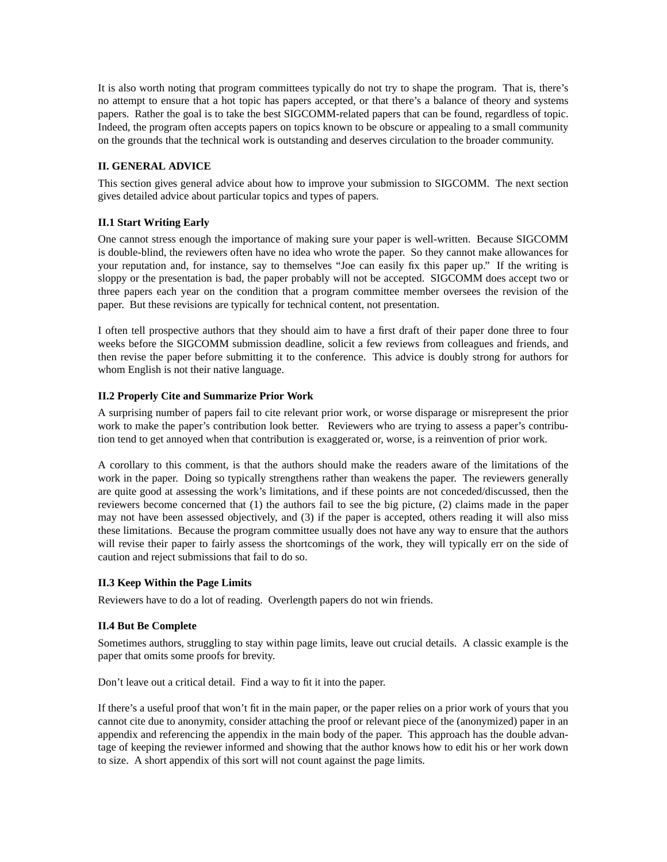It is also worth noting that program committees typically do not try to shape the program. That is, there's no attempt to ensure that a hot topic has papers accepted, or that there's a balance of theory and systems papers. Rather the goal is to take the best SIGCOMM-related papers that can be found, regardless of topic. Indeed, the program often accepts papers on topics known to be obscure or appealing to a small community on the grounds that the technical work is outstanding and deserves circulation to the broader community.

### **II. GENERAL ADVICE**

This section gives general advice about how to improve your submission to SIGCOMM. The next section gives detailed advice about particular topics and types of papers.

### **II.1 Start Writing Early**

One cannot stress enough the importance of making sure your paper is well-written. Because SIGCOMM is double-blind, the reviewers often have no idea who wrote the paper. So they cannot make allowances for your reputation and, for instance, say to themselves "Joe can easily fix this paper up." If the writing is sloppy or the presentation is bad, the paper probably will not be accepted. SIGCOMM does accept two or three papers each year on the condition that a program committee member oversees the revision of the paper. But these revisions are typically for technical content, not presentation.

I often tell prospective authors that they should aim to have a first draft of their paper done three to four weeks before the SIGCOMM submission deadline, solicit a few reviews from colleagues and friends, and then revise the paper before submitting it to the conference. This advice is doubly strong for authors for whom English is not their native language.

### **II.2 Properly Cite and Summarize Prior Work**

A surprising number of papers fail to cite relevant prior work, or worse disparage or misrepresent the prior work to make the paper's contribution look better. Reviewers who are trying to assess a paper's contribution tend to get annoyed when that contribution is exaggerated or, worse, is a reinvention of prior work.

A corollary to this comment, is that the authors should make the readers aware of the limitations of the work in the paper. Doing so typically strengthens rather than weakens the paper. The reviewers generally are quite good at assessing the work's limitations, and if these points are not conceded/discussed, then the reviewers become concerned that (1) the authors fail to see the big picture, (2) claims made in the paper may not have been assessed objectively, and (3) if the paper is accepted, others reading it will also miss these limitations. Because the program committee usually does not have any way to ensure that the authors will revise their paper to fairly assess the shortcomings of the work, they will typically err on the side of caution and reject submissions that fail to do so.

#### **II.3 Keep Within the Page Limits**

Reviewers have to do a lot of reading. Overlength papers do not win friends.

#### **II.4 But Be Complete**

Sometimes authors, struggling to stay within page limits, leave out crucial details. A classic example is the paper that omits some proofs for brevity.

Don't leave out a critical detail. Find a way to fit it into the paper.

If there's a useful proof that won't fit in the main paper, or the paper relies on a prior work of yours that you cannot cite due to anonymity, consider attaching the proof or relevant piece of the (anonymized) paper in an appendix and referencing the appendix in the main body of the paper. This approach has the double advantage of keeping the reviewer informed and showing that the author knows how to edit his or her work down to size. A short appendix of this sort will not count against the page limits.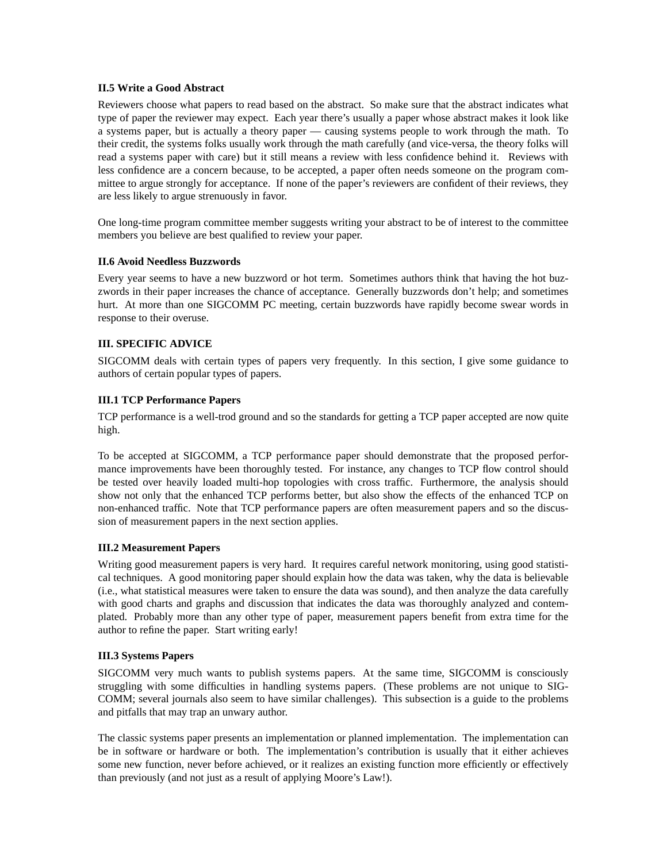### **II.5 Write a Good Abstract**

Reviewers choose what papers to read based on the abstract. So make sure that the abstract indicates what type of paper the reviewer may expect. Each year there's usually a paper whose abstract makes it look like a systems paper, but is actually a theory paper — causing systems people to work through the math. To their credit, the systems folks usually work through the math carefully (and vice-versa, the theory folks will read a systems paper with care) but it still means a review with less confidence behind it. Reviews with less confidence are a concern because, to be accepted, a paper often needs someone on the program committee to argue strongly for acceptance. If none of the paper's reviewers are confident of their reviews, they are less likely to argue strenuously in favor.

One long-time program committee member suggests writing your abstract to be of interest to the committee members you believe are best qualified to review your paper.

### **II.6 Avoid Needless Buzzwords**

Every year seems to have a new buzzword or hot term. Sometimes authors think that having the hot buzzwords in their paper increases the chance of acceptance. Generally buzzwords don't help; and sometimes hurt. At more than one SIGCOMM PC meeting, certain buzzwords have rapidly become swear words in response to their overuse.

# **III. SPECIFIC ADVICE**

SIGCOMM deals with certain types of papers very frequently. In this section, I give some guidance to authors of certain popular types of papers.

### **III.1 TCP Performance Papers**

TCP performance is a well-trod ground and so the standards for getting a TCP paper accepted are now quite high.

To be accepted at SIGCOMM, a TCP performance paper should demonstrate that the proposed performance improvements have been thoroughly tested. For instance, any changes to TCP flow control should be tested over heavily loaded multi-hop topologies with cross traffic. Furthermore, the analysis should show not only that the enhanced TCP performs better, but also show the effects of the enhanced TCP on non-enhanced traffic. Note that TCP performance papers are often measurement papers and so the discussion of measurement papers in the next section applies.

#### **III.2 Measurement Papers**

Writing good measurement papers is very hard. It requires careful network monitoring, using good statistical techniques. A good monitoring paper should explain how the data was taken, why the data is believable (i.e., what statistical measures were taken to ensure the data was sound), and then analyze the data carefully with good charts and graphs and discussion that indicates the data was thoroughly analyzed and contemplated. Probably more than any other type of paper, measurement papers benefit from extra time for the author to refine the paper. Start writing early!

# **III.3 Systems Papers**

SIGCOMM very much wants to publish systems papers. At the same time, SIGCOMM is consciously struggling with some difficulties in handling systems papers. (These problems are not unique to SIG-COMM; several journals also seem to have similar challenges). This subsection is a guide to the problems and pitfalls that may trap an unwary author.

The classic systems paper presents an implementation or planned implementation. The implementation can be in software or hardware or both. The implementation's contribution is usually that it either achieves some new function, never before achieved, or it realizes an existing function more efficiently or effectively than previously (and not just as a result of applying Moore's Law!).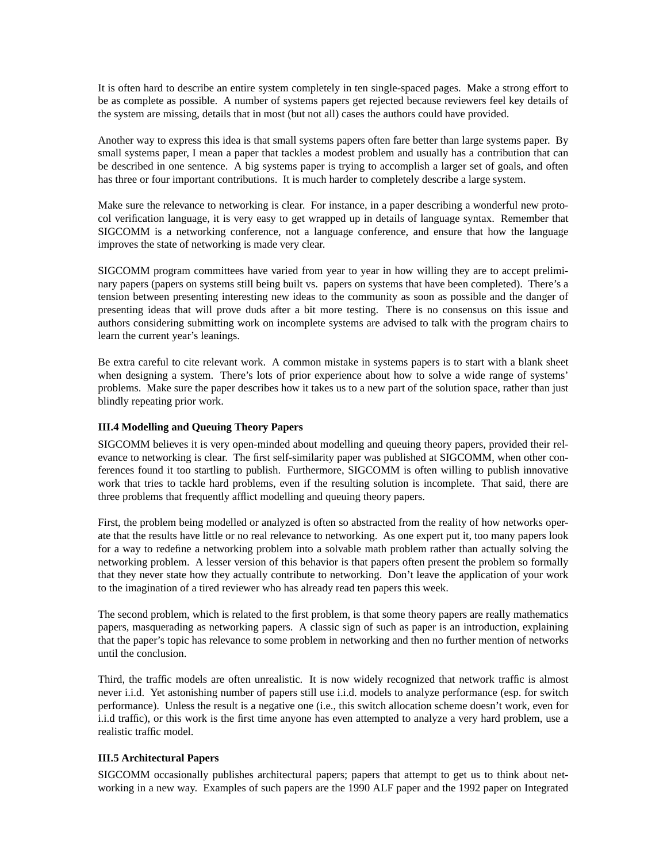It is often hard to describe an entire system completely in ten single-spaced pages. Make a strong effort to be as complete as possible. A number of systems papers get rejected because reviewers feel key details of the system are missing, details that in most (but not all) cases the authors could have provided.

Another way to express this idea is that small systems papers often fare better than large systems paper. By small systems paper, I mean a paper that tackles a modest problem and usually has a contribution that can be described in one sentence. A big systems paper is trying to accomplish a larger set of goals, and often has three or four important contributions. It is much harder to completely describe a large system.

Make sure the relevance to networking is clear. For instance, in a paper describing a wonderful new protocol verification language, it is very easy to get wrapped up in details of language syntax. Remember that SIGCOMM is a networking conference, not a language conference, and ensure that how the language improves the state of networking is made very clear.

SIGCOMM program committees have varied from year to year in how willing they are to accept preliminary papers (papers on systems still being built vs. papers on systems that have been completed). There's a tension between presenting interesting new ideas to the community as soon as possible and the danger of presenting ideas that will prove duds after a bit more testing. There is no consensus on this issue and authors considering submitting work on incomplete systems are advised to talk with the program chairs to learn the current year's leanings.

Be extra careful to cite relevant work. A common mistake in systems papers is to start with a blank sheet when designing a system. There's lots of prior experience about how to solve a wide range of systems' problems. Make sure the paper describes how it takes us to a new part of the solution space, rather than just blindly repeating prior work.

# **III.4 Modelling and Queuing Theory Papers**

SIGCOMM believes it is very open-minded about modelling and queuing theory papers, provided their relevance to networking is clear. The first self-similarity paper was published at SIGCOMM, when other conferences found it too startling to publish. Furthermore, SIGCOMM is often willing to publish innovative work that tries to tackle hard problems, even if the resulting solution is incomplete. That said, there are three problems that frequently afflict modelling and queuing theory papers.

First, the problem being modelled or analyzed is often so abstracted from the reality of how networks operate that the results have little or no real relevance to networking. As one expert put it, too many papers look for a way to redefine a networking problem into a solvable math problem rather than actually solving the networking problem. A lesser version of this behavior is that papers often present the problem so formally that they never state how they actually contribute to networking. Don't leave the application of your work to the imagination of a tired reviewer who has already read ten papers this week.

The second problem, which is related to the first problem, is that some theory papers are really mathematics papers, masquerading as networking papers. A classic sign of such as paper is an introduction, explaining that the paper's topic has relevance to some problem in networking and then no further mention of networks until the conclusion.

Third, the traffic models are often unrealistic. It is now widely recognized that network traffic is almost never i.i.d. Yet astonishing number of papers still use i.i.d. models to analyze performance (esp. for switch performance). Unless the result is a negative one (i.e., this switch allocation scheme doesn't work, even for i.i.d traffic), or this work is the first time anyone has even attempted to analyze a very hard problem, use a realistic traffic model.

# **III.5 Architectural Papers**

SIGCOMM occasionally publishes architectural papers; papers that attempt to get us to think about networking in a new way. Examples of such papers are the 1990 ALF paper and the 1992 paper on Integrated